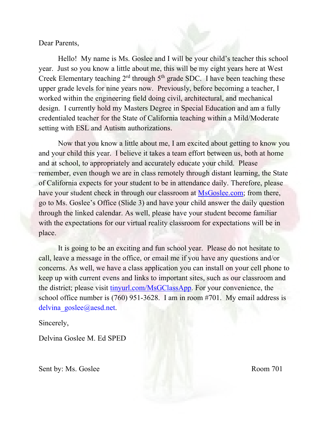Dear Parents,

Hello! My name is Ms. Goslee and I will be your child's teacher this school year. Just so you know a little about me, this will be my eight years here at West Creek Elementary teaching  $2<sup>rd</sup>$  through  $5<sup>th</sup>$  grade SDC. I have been teaching these upper grade levels for nine years now. Previously, before becoming a teacher, I worked within the engineering field doing civil, architectural, and mechanical design. I currently hold my Masters Degree in Special Education and am a fully credentialed teacher for the State of California teaching within a Mild/Moderate setting with ESL and Autism authorizations.

Now that you know a little about me, I am excited about getting to know you and your child this year. I believe it takes a team effort between us, both at home and at school, to appropriately and accurately educate your child. Please remember, even though we are in class remotely through distant learning, the State of California expects for your student to be in attendance daily. Therefore, please have your student check in through our classroom at MsGoslee.com; from there, go to Ms. Goslee's Office (Slide 3) and have your child answer the daily question through the linked calendar. As well, please have your student become familiar with the expectations for our virtual reality classroom for expectations will be in place.

It is going to be an exciting and fun school year. Please do not hesitate to call, leave a message in the office, or email me if you have any questions and/or concerns. As well, we have a class application you can install on your cell phone to keep up with current evens and links to important sites, such as our classroom and the district; please visit [tinyurl.com/MsGClassApp.](http://www.tinyurl.com/MsGClassApp) For your convenience, the school office number is (760) 951-3628. I am in room #701. My email address is delvina goslee@aesd.net.

Sincerely,

Delvina Goslee M. Ed SPED

Sent by: Ms. Goslee Room 701